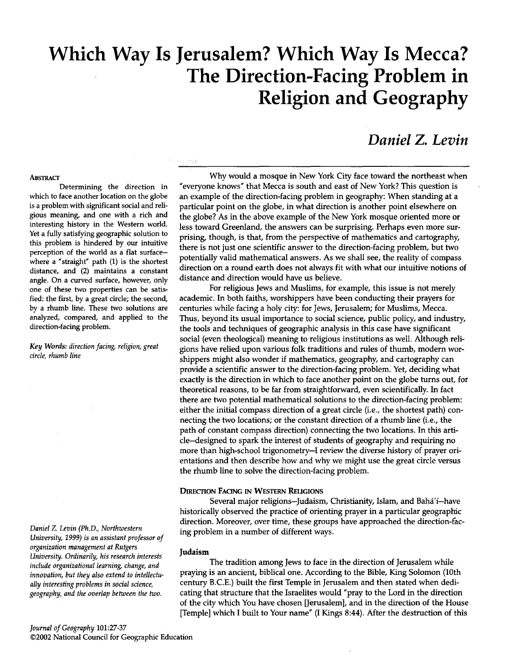# **Which Way Is Jerusalem? Which Way Is Mecca? The Direction-Facing Problem in Religion and Geography**

# *Daniel* **Z.** *Levin*

#### **ABSTRACT**

Determining the direction in which to face another location on the globe is a problem with significant social and religious meaning, and one with a rich and interesting history in the Western world. Yet a fully satisfying geographic solution to this problem is hindered by our intuitive perception of the world as a flat surfacewhere a "straight" path (1) is the shortest distance, and (2) maintains a constant angle. On a curved surface, however, only one of these two properties can be satisfied: the first, by a great circle; the second, by a rhumb line. These two solutions are analyzed, compared, and applied to the direction-facing problem.

*Key Words: direction facing, religion, great circle, rhumb line* 

*Daniel* Z. *Levin (Ph.D., Northwestern University, 1999)* is *an assistant professor of organization management at Rutgers University. Ordinarily, his research interests include organizational learning, change, and innovation, but they also extend to intellectually interesting problems in social science, geography, and the overlap between the two.* 

Why would a mosque in New York City face toward the northeast when "everyone knows" that Mecca is south and east of New York? This question is an example of the direction-facing problem in geography: When standing at a particular point on the globe, in what direction is another point elsewhere on the globe? As in the above example of the New York mosque oriented more or less toward Greenland, the answers can be surprising. Perhaps even more surprising, though, is that, from the perspective of mathematics and cartography, there is not just one scientific answer to the direction-facing problem, but two potentially valid mathematical answers. As we shall see, the reality of compass direction on a round earth does not always fit with what our intuitive notions of distance and direction would have us believe.

For religious Jews and Muslims, for example, this issue is not merely academic. In both faiths, worshippers have been conducting their prayers for centuries while facing a holy city: for Jews, Jerusalem; for Muslims, Mecca. Thus, beyond its usual importance to social science, public policy, and industry, the tools and techniques of geographic analysis in this case have significant social (even theological) meaning to religious institutions as well. Although religions have relied upon various folk traditions and rules of thumb, modern worshippers might also wonder if mathematics, geography, and cartography can provide a scientific answer to the direction-facing problem. Yet, deciding what exactly is the direction in which to face another point on the globe turns out, for theoretical reasons, to be far from straightforward, even scientifically. In fact there are two potential mathematical solutions to the direction-facing problem: either the initial compass direction of a great circle (i.e., the shortest path) connecting the two locations; or the constant direction of a rhumb line (i.e., the path of constant compass direction) connecting the two locations. In this article-designed to spark the interest of students of geography and requiring no more than high-school trigonometry-I review the diverse history of prayer orientations and then describe how and why we might use the great circle versus the rhumb line to solve the direction-facing problem.

#### DIRECTION FACING IN WESTERN RELIGIONS

Several major religions-Judaism, Christianity, Islam, and Bahá'í-have historically observed the practice of orienting prayer in a particular geographic direction. Moreover, over time, these groups have approached the direction-facing problem in a number of different ways.

#### **Judaism**

The tradition among Jews to face in the direction of Jerusalem while praying is an ancient, biblical one. According to the Bible, King Solomon (10th century B.C.E.) built the first Temple in Jerusalem and then stated when dedicating that structure that the Israelites would "pray to the Lord in the direction of the city which You have chosen [Jerusalem], and in the direction of the House [Temple] which I built to Your name" (I Kings 8:44). After the destruction of this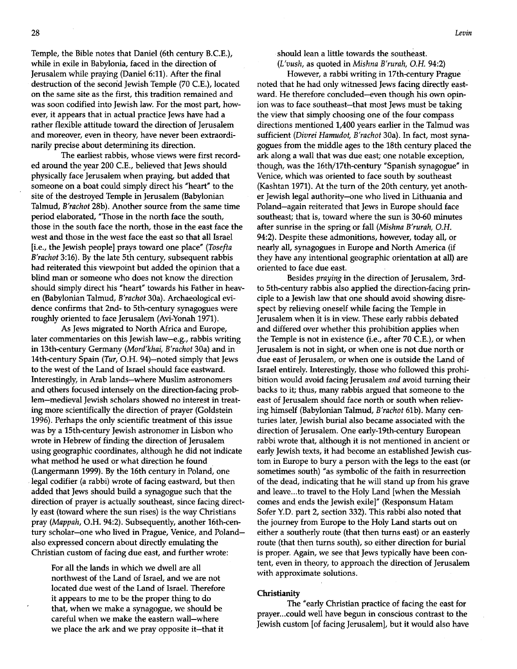Temple, the Bible notes that Daniel (6th century B.C.E.), while in exile in Babylonia, faced in the direction of Jerusalem while praying (Daniel 6:11). After the final destruction of the secorid Jewish Temple (70 C.E.), located on the same site as the first, this tradition remained and was soon codified into Jewish law. For the most part, however, it appears that in actual practice Jews have had a rather flexible attitude toward the direction of Jerusalem and moreover, even in theory, have never been extraordinarily precise about determining its direction.

The earliest rabbis, whose views were first recorded around the year 200 C.E., believed that Jews should physically face Jerusalem when praying, but added that someone on a boat could simply direct his "heart" to the site of the destroyed Temple in Jerusalem (Babylonian Talmud, *B'rachot* 28b). Another source from the same time period elaborated, "Those in the north face the south, those in the south face the north, those in the east face the west and those in the west face the east so that all Israel [i.e., the Jewish people] prays toward one place" *(Tosefta B'rachot* 3:16). By the late 5th century, subsequent rabbis had reiterated this viewpoint but added the opinion that a blind man or someone who does not know the direction should simply direct his "heart" towards his Father in heaven (Babylonian Talmud, *B'rachot* 30a). Archaeological evidence confirms that 2nd- to 5th-century synagogues were roughly oriented to face Jerusalem (Avi-Yonah 1971).

As Jews migrated to North Africa and Europe, later commentaries on this Jewish law-e.g., rabbis writing in 13th-century Germany *(Mord'khai, B'rachot* 30a) and in 14th-century Spain *(Tur, O.H. 94)*-noted simply that Jews to the west of the Land of Israel should face eastward. Interestingly, in Arab lands-where Muslim astronomers and others focused intensely on the direction-facing problem-medieval Jewish scholars showed no interest in treating more scientifically the direction of prayer (Goldstein 1996). Perhaps the only scientific treatment of this issue was by a 15th-century Jewish astronomer in Lisbon who wrote in Hebrew of finding the direction of Jerusalem using geographic coordinates, although he did not indicate what method he used or what direction he found (Langermann 1999). By the 16th century in Poland, one . legal codifier (a rabbi) wrote of facing eastward, but then added that Jews should build a synagogue such that the direction of prayer is actually southeast, since facing directly east (toward where the sun rises) is the way Christians pray *(Mappah,* O.H. 94:2). Subsequently, another 16th-century scholar-one who lived in Prague, Venice, and Polandalso expressed concern about directly emulating the Christian custom of facing due east, and further wrote:

For all the lands in which we dwell are all northwest of the Land of Israel, and we are not located due west of the Land of Israel. Therefore it appears to me to be the proper thing to do that, when we make a synagogue, we should be careful when we make the eastern wall-where we place the ark and we pray opposite it-that it

should lean a little towards the southeast.

*(L'vush,* as quoted in *Mishna B'rurah,* O.H. 94:2)

However, a rabbi writing in 17th-century Prague noted that he had only witnessed Jews facing directly eastward. He therefore concluded-even though his own opinion was to face southeast-that most Jews must be taking the view that simply choosing one of the four compass directions mentioned 1,400 years earlier in the Talmud was sufficient *(Divrei Hamudot, B'rachot* 30a). In fact, most synagogues from the middle ages to the 18th century placed the ark along a wall that was due east; one notable exception, though, was the 16th/17th-century "Spanish synagogue" in Venice, which was oriented to face south by southeast (Kashtan 1971). At the turn of the 20th century, yet another Jewish legal authority-one who lived in Lithuania and Poland-again reiterated that Jews in Europe should face southeast; that is, toward where the sun is 30-60 minutes after sunrise in the spring or fall *(Mishna B'rurah,* O.H. 94:2). Despite these admonitions, however, today all, or nearly all, synagogues in Europe and North America (if they have any intentional geographic orientation at all) are oriented to face due east.

Besides *praying* in the direction of Jerusalem, 3rdto 5th-century rabbis also applied the direction-facing principle to a Jewish law that one should avoid showing disrespect by relieving oneself while facing the Temple in Jerusalem when it is in view. These early rabbis debated and differed over whether this prohibition applies when the Temple is not in existence (i.e., after 70 C.E.), or when Jerusalem is not in sight, or when one is not due north or due east of Jerusalem, or when one is outside the Land of Israel entirely. Interestingly, those who followed this prohibition would avoid facing Jerusalem *and* avoid turning their backs to it; thus, many rabbis argued that someone to the east of Jerusalem should face north or south when relieving himself (Babylonian Talmud, *B'rachot* 61b). Many centuries later, Jewish burial also became associated with the direction of Jerusalem. One early-19th-century European rabbi wrote that, although it is not mentioned in ancient or early Jewish texts, it had become an established Jewish custom in Europe to bury a person with the legs to the east (or sometimes south) "as symbolic of the faith in resurrection of the dead, indicating that he will stand up from his grave and leave... to travel to the Holy Land [when the Messiah comes anq ends the Jewish exile]" (Responsum Hatam Sofer Y.D. part 2, section 332). This rabbi also noted that the journey from Europe to the Holy Land starts out on either a southerly route (that then turns east) or an easterly route (that then turns south), so either direction for burial is proper. Again, we see that Jews typically have been content, even in theory, to approach the direction of Jerusalem with approximate solutions.

#### **Christianity**

The "early Christian practice of facing the east for prayer... could well have begun in conscious contrast to the Jewish custom [of facing Jerusalem], but it would also have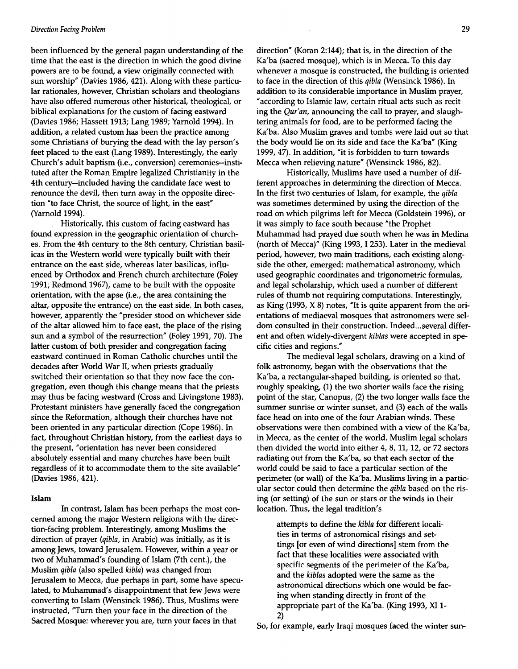been influenced by the general pagan understanding of the time that the east is the direction in which the good divine powers are to be found, a view originally connected with sun worship" (Davies 1986, 421). Along with these particular rationales, however, Christian scholars and theologians have also offered numerous other historical, theological, or biblical explanations for the custom of facing eastward (Davies 1986; Hassett 1913; Lang 1989; Yarnold 1994). In addition, a related custom has been the practice among some Christians of burying the dead with the lay person's feet placed to the east (Lang 1989). Interestingly, the early Church's adult baptism (i.e., conversion) ceremonies-instituted after the Roman Empire legalized Christianity in the 4th century-included having the candidate face west to renounce the devil, then turn away in the opposite direction "to face Christ, the source of light, in the east" (Yarnold 1994).

Historically, this custom of facing eastward has found expression in the geographic orientation of churches. From the 4th century to the 8th century, Christian basilicas in the Western world were typically built with their entrance on the east side, whereas later basilicas, influenced by Orthodox and French church architecture (Foley 1991; Redmond 1967), came to be built with the opposite orientation, with the apse (i.e., the area containing the altar, opposite the entrance) on the east side. In both cases, however, apparently the "presider stood on whichever side of the altar allowed him to face east, the place of the rising sun and a symbol of the resurrection" (Foley 1991, 70). The latter custom of both presider and congregation facing eastward continued in Roman Catholic churches until the decades after World War II, when priests gradually switched their orientation so that they now face the congregation, even though this change means that the priests may thus be facing westward (Cross and Livingstone 1983). Protestant ministers have generally faced the congregation since the Reformation, although their churches have not been oriented in any particular direction (Cope 1986). In fact, throughout Christian history, from the earliest days to the present, "orientation has never been considered absolutely essential and many churches have been built regardless of it to accommodate them to the site available" (Davies 1986, 421).

#### Islam

In contrast, Islam has been perhaps the most concerned among the major Western religions with the direction-facing problem. Interestingly, among Muslims the direction of prayer *(qibla,* in Arabic) was initially, as it is among Jews, toward Jerusalem. However, within a year or two of Muhammad's founding of Islam (7th cent.), the Muslim *qibla* (also spelled *kibla)* was changed from Jerusalem to Mecca, due perhaps in part, some have speculated, to Muhammad's disappointment that few Jews were converting to Islam (Wensinck 1986). Thus, Muslims were instructed, "Turn then your face in the direction of the Sacred Mosque: wherever you are, turn your faces in that

whenever a mosque is constructed, the building is oriented to face in the direction of this *qibla* (Wensinck 1986). In addition to its considerable importance in Muslim prayer, "according to Islamic law, certain ritual acts such as reciting the *Qur'an,* announcing the call to prayer, and slaughtering animals for food, are to be performed facing the Ka'ba. Also Muslim graves and tombs were laid out so that the body would lie on its side and face the Ka'ba" (King 1999, 47). In addition, "it is forbidden to turn towards Mecca when relieving nature" (Wensinck 1986, 82).

Historically, Muslims have used a number of different approaches in determining the direction of Mecca. In the first two centuries of Islam, for example, the *qibla*  was sometimes determined by using the direction of the road on which pilgrims left for Mecca (Goldstein 1996), or it was simply to face south because "the Prophet Muhammad had prayed due south when he was in Medina (north of Mecca)" (King 1993, I 253). Later in the medieval period, however, two main traditions, each existing alongside the other, emerged: mathematical astronomy, which used geographic coordinates and trigonometric formulas, and legal scholarship, which used a number of different rules of thumb not requiring computations. Interestingly, as King  $(1993, X8)$  notes, "It is quite apparent from the orientations of mediaeval mosques that astronomers were seldom consulted in their construction. Indeed... several different and often widely-divergent *kiblas* were accepted in specific cities and regions."

The medieval legal scholars, drawing on a kind of folk astronomy, began with the observations that the Ka'ba, a rectangular-shaped building, is oriented so that, roughly speaking, (1) the two shorter walls face the rising point of the star, Canopus, (2) the two longer walls face the summer sunrise or winter sunset, and (3) each of the walls face head on into one of the four Arabian winds. These observations were then combined with a view of the Ka'ba, in Mecca, as the center of the world. Muslim legal scholars then divided the world into either 4, 8, 11, 12, or 72 sectors radiating out from the Ka'ba, so that each sector of the world could be said to face a particular section of the perimeter (or wall) of the Ka'ba. Muslims living in a particular sector could then determine the *qibla* based on the rising (or setting) of the sun or stars or the winds in their location. Thus, the legal tradition's

attempts to define the *kibla* for different localities in terms of astronomical risings and settings [or even of wind directions] stem from the fact that these localities were associated with specific segments of the perimeter of the Ka'ba, and the *kiblas* adopted were the same as the astronomical directions which one would be facing when standing directly in front of the appropriate part of the Ka'ba. (King 1993, XI 1- 2}

So, for example, early Iraqi mosques faced the winter sun-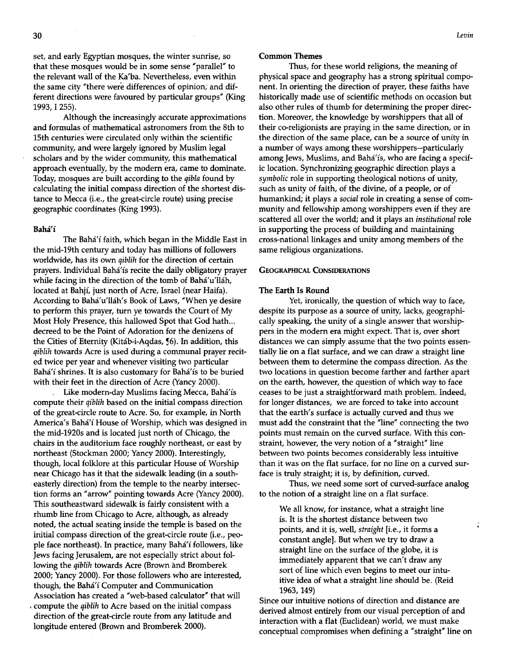set, and early Egyptian mosques, the winter sunrise, so that these mosques would be in some sense "parallel" to the relevant wall of the Ka'ba. Nevertheless, even within the same city "there were differences of opinion; and different directions were favoured by particular groups" (King 1993, I 255).

Although the increasingly accurate approximations and formulas of mathematical astronomers from the 8th to 15th centuries were circulated only within the scientific community, and were largely ignored by Muslim legal scholars and by the wider community, this mathematical approach eventually, by the modern era, came to dominate. Today, mosques are built according to the *qibla* found by calculating the initial compass direction of the shortest distance to Mecca (i.e., the great-circle route) using precise geographic coordinates (King 1993).

#### Baha'i

The Baha'i faith, which began in the Middle East in the mid-19th century and today has millions of followers worldwide, has its own *qiblih* for the direction of certain prayers. Individual Baha'is recite the daily obligatory prayer while facing in the direction of the tomb of Bahá'u'lláh, located at Bahji, just north of Acre, Israel (near Haifa). According to Baha'u'llah's Book of Laws, "When ye desire to perform this prayer, turn ye towards the Court of My Most Holy Presence, this hallowed Spot that God hath... decreed to be the Point of Adoration for the denizens of the Cities of Eternity (Kitáb-i-Aqdas, 56). In addition, this *qiblih* towards Acre is used during a communal prayer recited twice per year and whenever visiting two particular Bahá'í shrines. It is also customary for Bahá'ís to be buried with their feet in the direction of Acre (Yancy 2000).

Like modern-day Muslims facing Mecca, Bahá'ís compute their *qiblih* based on the initial compass direction of the great-circle route to Acre. So, for example, in North America's Baha'i House of Worship, which was designed in the mid-1920s and is located just north of Chicago, the chairs in the auditorium face roughly northeast, or east by northeast (Stockman 2000; Yancy 2000). Interestingly, though, local folklore at this particular House of Worship near Chicago has it that the sidewalk leading (in a south- . easterly direction) from the temple to the nearby intersection forms an "arrow" pointing towards Acre (Yancy 2000). This southeastward sidewalk is fairly consistent with a rhumb line from Chicago to Acre, although, as already noted, the actual seating inside the temple is based on the initial compass direction of the great-circle route (i.e., people face northeast). In practice, many Baha'i followers, like Jews facing Jerusalem, are not especially strict about following the *qiblih* towards Acre (Brown and Bromberek 2000; Yancy 2000). For those followers who are interested, though, the Baha'i Computer and Communication Association has created a "web-based calculator" that will , compute the *qiblih* to Acre based on the initial compass direction of the great-circle route from any latitude and longitude entered (Brown and Bromberek 2000).

#### Common Themes

Thus, for these world religions, the meaning of physical space and geography has a strong spiritual component. In orienting the direction of prayer, these faiths have historically made use of scientific methods on occasion but also other rules of thumb for determining the proper direction. Moreover, the knowledge by worshippers that all of their co-religionists are praying in the same direction, or in the direction of the same place, can be a source of unity in a number of ways among these worshippers-particularly among Jews, Muslims, and Baha'is, who are facing a specific location. Synchronizing geographic direction plays a *symbolic* role in supporting theological notions of unity, such as unity of faith, of the divine, of a people, or of humankind; it plays a *social* role in creating a sense of community and fellowship among worshippers even if they are scattered all over the world; and it plays an *institutional* role in supporting the process of building and maintaining cross-national linkages and unity among members of the same religious organizations.

#### **GEOGRAPHICAL CONSIDERATIONS**

# The Earth Is Round

Yet, ironically, the question of which way to face, despite its purpose as a source of unity, lacks, geographically speaking, the unity of a single answer that worshippers in the modern era might expect. That is, over short distances we can simply assume that the two points essentially lie on a flat surface, and we can draw a straight line between them to determine the compass direction. As the two locations in question become farther and farther apart on the earth, however, the question of which way to face ceases to be just a straightforward math problem. Indeed, for longer distances, we are forced to take into account that the earth's surface is actually curved and thus we must add the constraint that the "line" connecting the two points must remain on the curved surface. With this constraint, however, the very notion of a "straight" line between two points becomes considerably less intuitive than it was on the flat surface, for no line on a curved surface is truly straight; it is, by definition, curved.

Thus, we need some sort of curved-surface analog to the notion of a straight line on a flat surface.

We all know, for instance, what a straight line is. It is the shortest distance between two points, and it is, well, *straight* [i.e., it forms a constant angle). But when we try to draw a straight line on the surface of the globe, it is immediately apparent that we can't draw any sort of line which even begins to meet our intuitive idea of what a straight line should be. (Reid 1963, 149)

Since our intuitive notions of direction and distance are derived almost entirely from our visual perception of and interaction with a flat (Euclidean) world, we must make conceptual compromises when defining a "straight" line on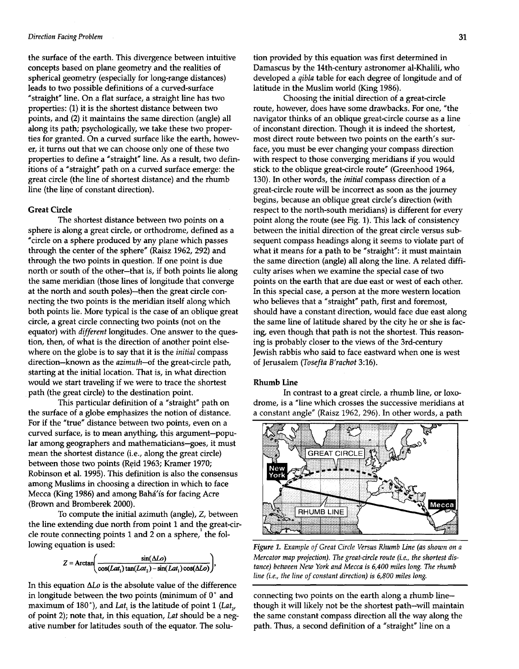#### *Direction Facing Problem*

the surface of the earth. This divergence between intuitive concepts based on plane geometry and the realities of spherical geometry (especially for long-range distances) leads to two possible definitions of a curved-surface "straight" line. On a flat surface, a straight line has two properties: (1) it is the shortest distance between two points, and (2) it maintains the same direction (angle) all along its path; psychologically, we take these two properties for granted. On a curved surface like the earth, however, it turns out that we can choose only one of these two properties to define a "straight" line. As a result, two definitions of a "straight" path on a curved surface emerge: the great circle (the line of shortest distance) and the rhumb line (the line of constant direction).

# **Great Circle**

The shortest distance between two points on a sphere is along a great circle, or orthodrome, defined as a 0 circle on a sphere produced by any plane which passes through the center of the sphere" (Raisz 1962, 292) and through the two points in question. If one point is due north or south of the other-that is, if both points lie along the same meridian (those lines of longitude that converge at the north and south poles)-then the great circle connecting the two points is the meridian itself along which both points lie. More typical is the case of an oblique great circle, a great circle connecting two points (not on the equator) with *different* longitudes. One answer to the question, then, of what is the direction of another point elsewhere on the globe is to say that it is the *initial* compass direction-known as the *azimuth-of* the great-circle path, starting at the initial location. That is, in what direction would we start traveling if we were to trace the shortest path (the great circle) to the destination point.

This particular definition of a "straight" path on the surface of a globe emphasizes the notion of distance. For if the "true" distance between two points, even on a curved surface, is to mean anything, this argument-popular among geographers and mathematicians-goes, it must mean the shortest distance (i.e., along the great circle) between those two points (Reid 1963; Kramer 1970; Robinson et al. 1995). This definition is also the consensus among Muslims in choosing a direction in which to face Mecca (King 1986) and among Bahá'ís for facing Acre (Brown and Bromberek 2000).

To compute the initial azimuth (angle), Z, between the line extending due north from point 1 and the great-circle route connecting points 1 and 2 on a sphere, the following equation is used:

$$
Z = \text{Arctan}\bigg(\frac{\sin(\Delta L_o)}{\cos(Lat_1)\tan(Lat_2) - \sin(Lat_1)\cos(\Delta L_o)}\bigg),
$$

In this equation *6.Lo* is the absolute value of the difference in longitude between the two points (minimum of  $0^{\circ}$  and maximum of  $180^{\circ}$ ), and *Lat*<sub>1</sub> is the latitude of point  $1$  (*Lat<sub>2</sub>*, of point 2); note that, in this equation, *Lat* should be a negative number for latitudes south of the equator. The solu-

tion provided by this equation was first determined in Damascus by the 14th-century astronomer al-Khalili, who developed a *qibla* table for each degree of longitude and of latitude in the Muslim world (King 1986).

Choosing the initial direction of a great-circle route, however, does have some drawbacks. For one, "the navigator thinks of an oblique great-circle course as a line of inconstant direction. Though it is indeed the shortest, most direct route between two points on the earth's surface, you must be ever changing your compass direction with respect to those converging meridians if you would stick to the oblique great-circle route" (Greenhood 1964, 130). In other words, the *initial* compass direction of a great-circle route will be incorrect as soon as the journey begins, because an oblique great circle's direction (with respect to the north-south meridians) is different for every point along the route (see Fig. 1). This lack of consistency between the initial direction of the great circle versus subsequent compass headings along it seems to violate part of what it means for a path to be "straight": it must maintain the same direction (angle) all along the line. A related difficulty arises when we examine the special case of two points on the earth that are due east or west of each other. In this special case, a person at the more western location who believes that a "straight" path, first and foremost, should have a constant direction, would face due east along the same line of latitude shared by the city he or she is facing, even though that path is not the shortest. This reasoning is probably closer to the views of the 3rd-century Jewish rabbis who said to face eastward when one is west of Jerusalem *(Tosefta B'rachot* 3:16).

#### **Rhumb Line**

In contrast to a great circle, a rhumb line, or loxodrome, is a "line which crosses the successive meridians at a constant angle" (Raisz 1962, 296). In other words, a path



*Figure 1. Example of Great Circle Versus Rhumb Line (as shown on a Mercator map projection). The great-circle route (i.e., the shortest distance) between New York and Mecca* is *6,400 miles long. The rhumb line (i.e., the line of constant direction)* is *6,800 miles long.* 

connecting two points on the earth along a rhumb linethough it will likely not be the shortest path-will maintain the same constant compass direction all the way along the path. Thus, a second definition of a "straight" line on a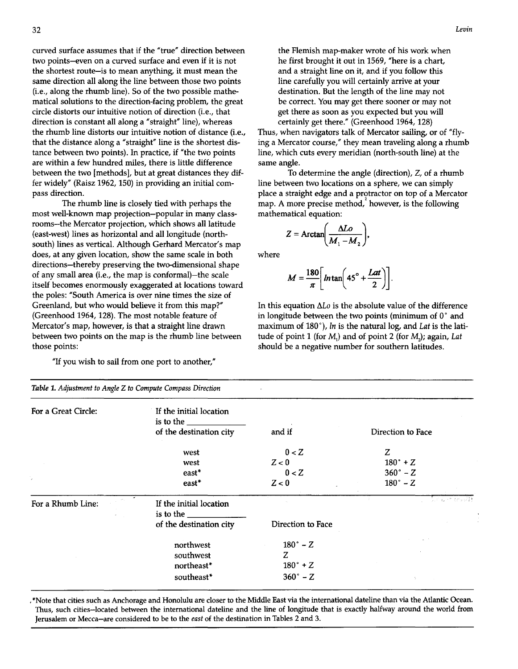curved surface assumes that if the "true" direction between two points-even on a curved surface and even if it is not the shortest route-is to mean anything, it must mean the same direction all along the line between those two points (i.e., along the rhumb line). So of the two possible mathematical solutions to the direction-facing problem, the great circle distorts our intuitive notion of direction (i.e., that direction is constant all along a "straight" line), whereas the rhumb line distorts our intuitive notion of distance (i.e., that the distance along a "straight" line is the shortest distance between two points). In practice, if "the two points are within a few hundred miles, there is little difference between the two [methods], but at great distances they differ widely" (Raisz 1962, 150) in providing an initial compass direction.

The rhumb line is closely tied with perhaps the most well-known map projection-popular in many classrooms-the Mercator projection, which shows all latitude (east-west) lines as horizontal and all longitude (northsouth) lines as vertical. Although Gerhard Mercator's map does, at any given location, show the same scale in both directions-thereby preserving the two-dimensional shape of any small area (i.e., the map is conformal)-the scale itself becomes enormously exaggerated at locations toward the poles: "South America is over nine times the size of Greenland, but who would believe it from this map?" (Greenhood 1964, 128). The most notable feature of Mercator's map, however, is that a straight line drawn between two points on the map is the rhumb line between those points:

"If you wish to sail from one port to another,"

the Flemish map-maker wrote of his work when he first brought it out in 1569, "here is a chart, and a straight line on it, and if you follow this line carefully you will certainly arrive at your destination. But the length of the line may not be correct. You may get there sooner or may not get there as soon as you expected but you will certainly get there." (Greenhood 1964, 128)

Thus, when navigators talk of Mercator sailing, or of "flying a Mercator course," they mean traveling along a rhumb line, which cuts every meridian (north-south line) at the same angle.

To determine the angle (direction), Z, of a rhumb line between two locations on a sphere, we can simply place a straight edge and a protractor on top of a Mercator 2 map. A more precise method, however, is the following mathematical equation:

$$
Z = \text{Arctan}\bigg(\frac{\Delta L o}{M_1 - M_2}\bigg),
$$

where

$$
M=\frac{180}{\pi}\left[htan\left(45^\circ+\frac{Lat}{2}\right)\right].
$$

In this equation  $\Delta L$ o is the absolute value of the difference in longitude between the two points (minimum of  $0^{\circ}$  and maximum of 180°), ln is the natural log, and Lat is the latitude of point 1 (for  $M_1$ ) and of point 2 (for  $M_2$ ); again, Lat should be a negative number for southern latitudes.

| Table 1. Adjustment to Angle Z to Compute Compass Direction |                                                      |                   |                   |  |  |  |
|-------------------------------------------------------------|------------------------------------------------------|-------------------|-------------------|--|--|--|
| For a Great Circle:                                         | If the initial location<br>is to the $\_\_$          |                   |                   |  |  |  |
|                                                             | of the destination city                              | and if            | Direction to Face |  |  |  |
|                                                             | west                                                 | 0 < Z             | Z                 |  |  |  |
|                                                             | west                                                 | Z < 0             | $180^{\circ}$ + Z |  |  |  |
|                                                             | east*                                                | 0 < Z             | $360^\circ - Z$   |  |  |  |
|                                                             | east*                                                | Z < 0             | $180^\circ - Z$   |  |  |  |
| For a Rhumb Line:                                           | If the initial location<br>is to the $\qquad \qquad$ |                   | ในกล่างๆ ประเทศ   |  |  |  |
|                                                             | of the destination city                              | Direction to Face |                   |  |  |  |
|                                                             | northwest                                            | $180^\circ - Z$   |                   |  |  |  |
|                                                             | southwest                                            | Z                 |                   |  |  |  |
|                                                             | northeast*                                           | $180^{\circ}$ + Z |                   |  |  |  |
|                                                             | southeast*                                           | $360^{\circ} - Z$ |                   |  |  |  |

, \*Note that cities such as Anchorage and Honolulu are closer to the Middle East via the international dateline than via the Atlantic Ocean. Thus, such cities-located between the international dateline and the line of longitude that is exactly halfway around the world from Jerusalem or Mecca-are considered to be to the *east* of the destination in Tables 2 and 3.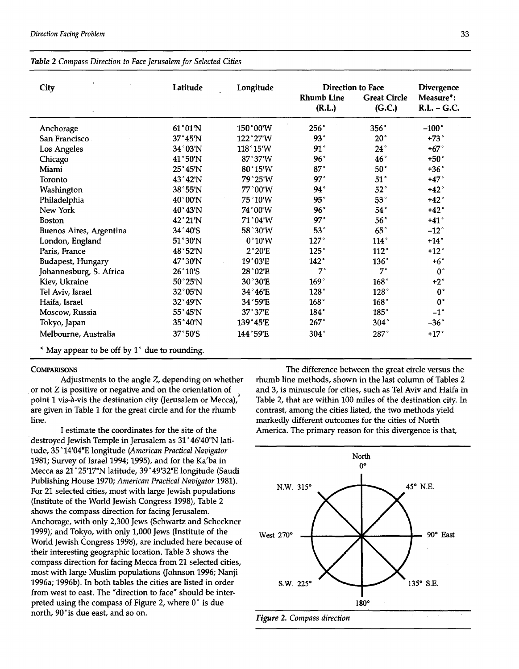| City                                          | Latitude               | Longitude        | <b>Direction to Face</b>    |                               | <b>Divergence</b>                     |  |  |
|-----------------------------------------------|------------------------|------------------|-----------------------------|-------------------------------|---------------------------------------|--|--|
|                                               |                        |                  | <b>Rhumb Line</b><br>(R.L.) | <b>Great Circle</b><br>(G.C.) | Measure <sup>*</sup> :<br>R.L. – G.C. |  |  |
| Anchorage                                     | 61°01'N                | 150°00'W         | 256°                        | 356°                          | $-100°$                               |  |  |
| San Francisco                                 | $37^\circ 45^\prime N$ | 122°27'W         | 93°                         | $20^{\circ}$                  | $+73°$                                |  |  |
| Los Angeles                                   | 34°03'N                | 118°15'W         | 91°                         | 24°                           | $+67°$                                |  |  |
| Chicago                                       | 41°50'N                | 87°37'W          | 96°                         | 46°                           | $+50^{\circ}$                         |  |  |
| Miami                                         | 25°45'N                | 80°15'W          | $87^\circ$                  | $50^\circ$                    | $+36^\circ$                           |  |  |
| Toronto                                       | 43°42'N                | 79°25'W          | 97°                         | 51°                           | $+47^\circ$                           |  |  |
| Washington                                    | 38°55'N                | 77°00'W          | 94°                         | 52°                           | $+42°$                                |  |  |
| Philadelphia                                  | 40°00'N                | $75^{\circ}10'W$ | 95°                         | 53°                           | $+42°$                                |  |  |
| New York                                      | 40°43'N                | 74°00'W          | 96°                         | 54°                           | $+42^\circ$                           |  |  |
| <b>Boston</b>                                 | 42°21'N                | 71°04'W          | 97°                         | 56°                           | $+41°$                                |  |  |
| Buenos Aires, Argentina                       | 34°40'S                | 58°30'W          | 53°                         | 65°                           | $-12°$                                |  |  |
| London, England                               | 51°30'N                | 0°10'W           | 127°                        | 114°                          | $+14°$                                |  |  |
| Paris, France                                 | 48°52'N                | 2°20'E           | 125°                        | 112°                          | $+12°$                                |  |  |
| Budapest, Hungary                             | 47°30'N                | 19°03'E          | 142°                        | 136°                          | $+6°$                                 |  |  |
| Johannesburg, S. Africa                       | 26°10'S                | 28°02'E          | $7^{\circ}$                 | $7^{\circ}$                   | 0 <sup>°</sup>                        |  |  |
| Kiev, Ukraine                                 | 50°25'N                | 30°30'E          | 169°                        | 168°                          | $+2^{\circ}$                          |  |  |
| Tel Aviv, Israel                              | 32°05'N                | 34°46'E          | 128°                        | 128°                          | 0 <sup>°</sup>                        |  |  |
| Haifa, Israel                                 | 32°49'N                | 34°59'E          | 168°                        | $168\,^{\circ}$               | 0 <sup>°</sup>                        |  |  |
| Moscow, Russia                                | 55°45'N                | 37°37'E          | 184°                        | $185^\circ$                   | $-1$ $\degree$                        |  |  |
| Tokyo, Japan                                  | 35°40'N                | 139°45'E         | 267°                        | 304°                          | $-36°$                                |  |  |
| Melbourne, Australia                          | 37°50'S                | 144°59'E         | 304°                        | 287°                          | $+17°$                                |  |  |
| * May appear to be off by 1° due to rounding. |                        |                  |                             |                               |                                       |  |  |

# *Table* 2 *Compass Direction to Face Jerusalem for Selected Cities*

#### **COMPARISONS**

Adjustments to the angle Z, depending on whether or not  $Z$  is positive or negative and on the orientation of point 1 vis-à-vis the destination city (Jerusalem or Mecca), are given in Table 1 for the great circle and for the rhumb line.

I estimate the coordinates for the site of the destroyed Jewish Temple in Jerusalem as 31°46'40"N latitude, 3S 0 14'04"E longitude *(American Practical Navigator*  1981; Survey of Israel 1994; 199S), and for the Ka'ba in Mecca as 21·2S'17"N latitude, 39 • 49'32"E longitude (Saudi Publishing House 1970; *American Practical Navigator* 1981). For 21 selected cities, most with large Jewish populations (Institute of the World Jewish Congress 1998), Table 2 shows the compass direction for facing Jerusalem. Anchorage, with only 2,300 Jews (Schwartz and Scheckner 1999), and Tokyo, with only 1,000 Jews (Institute of the World Jewish Congress 1998), are included here because of their interesting geographic location. Table 3 shows the compass direction for facing Mecca from 21 selected cities, most with large Muslim populations (Johnson 1996; Nanji 1996a; 1996b). In both tables the cities are listed in order from west to east. The "direction to face" should be interpreted using the compass of Figure 2, where  $0^{\circ}$  is due north, 90° is due east, and so on.

The difference between the great circle versus the rhumb line methods, shown in the last column of Tables 2 and 3, is minuscule for cities, such as Tel Aviv and Haifa in Table 2, that are within 100 miles of the destination city. In contrast, among the cities listed, the two methods yield markedly different outcomes for the cities of North America. The primary reason for this divergence is that,

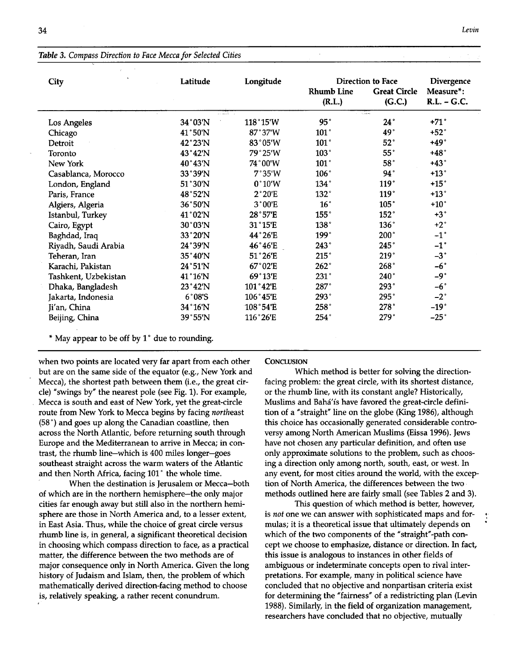City Latitude Longitude Direction to Face Divergence Rhumb Line Great Circle Measure\*:  $(R.L.)$  (G.C.)  $R.L. - G.C.$ Los Angeles  $34°03'N$   $118°15'W$   $95°$   $24°$   $+71°$ Chicago 41°50'N 87°37'W 101° 49° +52° Detroit a the set of  $42^{\circ}23'N$  and  $83^{\circ}05'W$  and  $101^{\circ}$  by  $52^{\circ}$  and  $49^{\circ}$  $\begin{array}{ccccccc}\n\text{Toronto} & & & 43^\circ 42'N & & 79^\circ 25'W & & 103^\circ & & & 55^\circ & +48^\circ \\
\end{array}$ New York Casablanca, Morocco London, England Paris, France  $40^{\circ}43'N$  74 $^{\circ}00'W$  101 $^{\circ}$  58 $^{\circ}$  +43 $^{\circ}$  $33°39'N$   $7°35'W$   $106°$   $94°$   $+13°$ 51°30'N 0°10'W 134° 119° +15° 48°52'N 2°20'E 132° 119° +13° Algiers, Algeria 10<sup>°</sup> 36°50'N 3°00'E 16° 105° +10° Istanbul, Turkey Cairo, Egypt Baghdad, Iraq Riyadh, Saudi Arabia Teheran, Iran Karachi, Pakistan Tashkent, Uzbekistan Dhaka, Bangladesh Jakarta, Indonesia Ji'an, China  $41°02'N$  28°57'E 155° 152° +3°  $30^{\circ}03'N$   $31^{\circ}15'E$   $138^{\circ}$   $136^{\circ}$   $+2^{\circ}$ 33°20'N 44°26'E 199° 200° -1°  $24^{\circ}39'N$   $46^{\circ}46'E$   $243^{\circ}$   $245^{\circ}$   $-1^{\circ}$  $35°40'$ N  $51°26'E$   $215°$   $219°$   $-3°$  $24^{\circ}51'N$  67°02'E 262° 268° -6°  $41°16'N$  69°13'E 231° 240° -9°  $23°42'N$  101°42'E 287° 293° -6°  $6°08'$ S 106°45'E 293° 295°  $-2°$ 34°16'N  $108°54'E$  258° 278° -19° Beijing, China 39°55'N l16°26'E 254° 279° -25°

*Table* 3. *Compass Direction to Face Mecca for Selected Cities* 

\* May appear to be off by 1 ° due to rounding.

when two points are located very far apart from each other but are on the same side of the equator (e.g., New York and Mecca), the shortest path between them (i.e., the great circle) "swings by" the nearest pole (see Fig. 1). For example, Mecca is south and east of New York, yet the great-circle route from New York to Mecca begins by facing *northeast*  (58 °) and goes up along the Canadian coastline, then across the North Atlantic, before returning south through Europe and the Mediterranean to arrive in Mecca; in contrast, the rhumb line-which is 400 miles longer-goes southeast straight across the warm waters of the Atlantic and then North Africa, facing 101 ° the whole time.

When the destination is Jerusalem or Mecca-both of which are in the northern hemisphere-the only major cities far enough away but still also in the northern hemisphere are those in North America and, to a lesser extent, in East Asia. Thus, while the choice of great circle versus rhumb line is, in general, a significant theoretical decision in choosing which compass direction to face, as a practical matter, the difference between the two methods are of major consequence only in North America. Given the long history of Judaism and Islam, then, the problem of which mathematically derived direction-facing method to choose is, relatively speaking, a rather recent conundrum.

# **CONCLUSION**

Which method is better for solving the directionfacing problem: the great circle, with its shortest distance, or the rhumb line, with its constant angle? Historically, Muslims and Baha'is have favored the great-circle definition of a "straight" line on the globe (King 1986), although this choice has occasionally generated considerable controversy among North American Muslims (Eissa 1996). Jews have not chosen any particular definition, and often use only approximate solutions to the problem, such as choosing a direction only among north, south, east, or west. In any event, for most cities around the world, with the exception of North America, the differences between the two methods outlined here are fairly small (see Tables 2 and 3).

This question of which method is better, however, is *not* one we can answer with sophisticated maps and formulas; it is a theoretical issue that ultimately depends on which of the two components of the "straight"-path concept we choose to emphasize, distance or direction. In fact, this issue is analogous to instances in other fields of ambiguous or indeterminate concepts open to rival interpretations. For example, many in political science have concluded that no objective and nonpartisan criteria exist for determining the "fairness" of a redistricting plan (Levin 1988). Similarly, in the field of organization management, researchers have concluded that no objective, mutually

..  $\frac{1}{2}$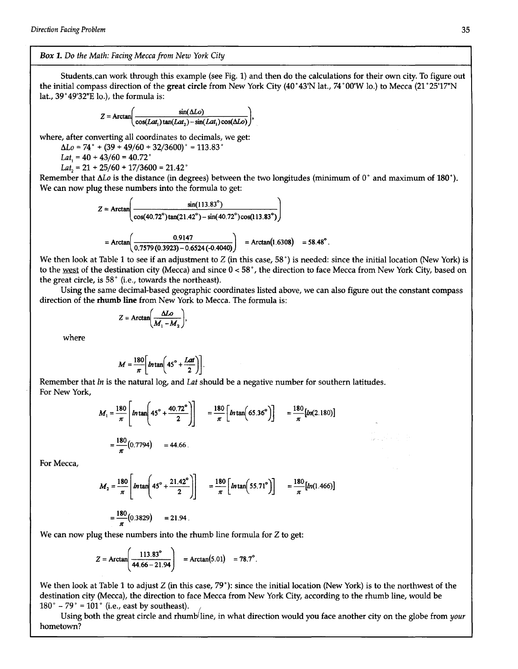# *Box 1. Do the Math: Facing Mecca from New York City*

Students.can work through this example (see Fig. 1) and then do the calculations for their own city. To figure out the initial compass direction of the great circle from New York City (40°43'N lat., 74°00'W lo.) to Mecca (21°25'17"N lat., 39°49'32"E lo.), the formula is:

$$
Z = \text{Arctan}\bigg(\frac{\sin(\Delta Lo)}{\cos(Lat_1)\tan(Lat_2) - \sin(Lat_1)\cos(\Delta Lo)}\bigg),
$$

where, after converting all coordinates to decimals, we get:

 $\Delta$ *Lo* = 74° + (39 + 49/60 + 32/3600)° = 113.83°

 $Lat$ <sub>1</sub> = 40 + 43/60 = 40.72<sup>°</sup>

$$
Lat_2 = 21 + 25/60 + 17/3600 = 21.42^{\circ}
$$

Remember that  $\Delta L \sigma$  is the distance (in degrees) between the two longitudes (minimum of 0° and maximum of 180°). We can now plug these numbers into the formula to get:

$$
Z = \text{Arctan}\left(\frac{\sin(113.83^\circ)}{\cos(40.72^\circ)\tan(21.42^\circ) - \sin(40.72^\circ)\cos(113.83^\circ)}\right)
$$
  
= Arctan $\left(\frac{0.9147}{0.7579(0.3923) - 0.6524(-0.4040)}\right)$  = Arctan(1.6308) = 58.48°.

We then look at Table 1 to see if an adjustment to Z (in this case, 58°) is needed: since the initial location (New York) is to the west of the destination city (Mecca) and since 0 < 58 °, the direction to face Mecca from New York City, based on the great circle, is 58° (i.e., towards the northeast).

Using the same decimal-based geographic coordinates listed above, we can also figure out the constant compass direction of the **rhumb** line from New York to Mecca. The formula is:

$$
Z = \text{Arctan}\bigg(\frac{\Delta L o}{M_1 - M_2}\bigg),
$$

where

$$
M=\frac{180}{\pi}\left[ln\tan\left(45^\circ+\frac{Lat}{2}\right)\right].
$$

Remember that *ln* is the natural log, and *Lat* should be a negative number for southern latitudes. For New York,

$$
M_1 = \frac{180}{\pi} \left[ ln \tan \left( 45^\circ + \frac{40.72^\circ}{2} \right) \right] = \frac{180}{\pi} \left[ ln \tan \left( 65.36^\circ \right) \right] = \frac{180}{\pi} [ln(2.180)]
$$
  
=  $\frac{180}{\pi} (0.7794) = 44.66$ .

For Mecca,

$$
M_2 = \frac{180}{\pi} \left[ h \tan \left( 45^\circ + \frac{21.42^\circ}{2} \right) \right] = \frac{180}{\pi} \left[ h \tan \left( 55.71^\circ \right) \right] = \frac{180}{\pi} \left[ h(1.466) \right]
$$

$$
= \frac{180}{\pi} (0.3829) = 21.94
$$

We can now plug these numbers into the rhumb line formula for Z to get:

$$
Z = \text{Arctan}\left(\frac{113.83^{\circ}}{44.66 - 21.94}\right) = \text{Arctan}(5.01) = 78.7^{\circ}.
$$

We then look at Table 1 to adjust Z (in this case, 79°): since the initial location (New York) is to the northwest of the destination city (Mecca), the direction to face Mecca from New York City, according to the rhumb line, would be  $180^\circ$  – 79° = 101° (i.e., east by southeast).

Using both the great circle and rhumb(line, in what direction would you face another city on the globe from *your*  hometown?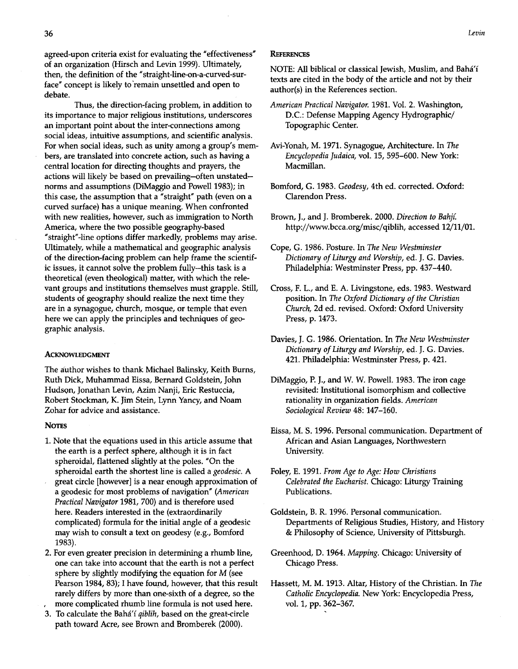agreed-upon criteria exist for evaluating the "effectiveness" of an organization (Hirsch and Levin 1999). Ultimately, then, the definition of the "straight-line-on-a-curved-surface" concept is likely to 'remain unsettled and open to debate.

Thus, the direction-facing problem, in addition to its importance to major religious institutions, underscores an important point about the inter-connections among social ideas, intuitive assumptions, and scientific analysis. For when social ideas, such as unity among a group's members, are translated into concrete action, such as having a central location for directing thoughts and prayers, the actions will likely be based on prevailing-often unstatednorms and assumptions (DiMaggio and Powell 1983); in this case, the assumption that a "straight" path (even on a curved surface) has a unique meaning. When confronted with new realities, however, such as immigration to North America, where the two possible geography-based "straight"-line options differ markedly, problems may arise. Ultimately, while a mathematical and geographic analysis of the direction-facing problem can help frame the scientific issues, it cannot solve the problem fully-this task is a theoretical (even theological) matter, with which the relevant groups and institutions themselves must grapple. Still, students of geography should realize the next time they are in a synagogue, church, mosque, or temple that even here we can apply the principles and techniques of geographic analysis.

## ACKNOWLEDGMENT

The author wishes to thank Michael Balinsky, Keith Burns, Ruth Dick, Muhammad Eissa, Bernard Goldstein, John Hudson, Jonathan Levin, Azim Nanji, Eric Restuccia, Robert Stockman, K. Jim Stein, Lynn Yancy, and Noam Zohar for advice and assistance.

## **NOTES**

- 1. Note that the equations used in this article assume that the earth is a perfect sphere, although it is in fact spheroidal, flattened slightly at the poles. "On the spheroidal earth the shortest line is called a *geodesic.* A great circle [however) is a near enough approximation of a geodesic for most problems of navigation" *(American Practical Navigator* 1981, 700) and is therefore used here. Readers interested in the (extraordinarily complicated) formula for the initial angle of a geodesic may wish to consult a text on geodesy (e.g., Bomford 1983).
- 2. For even greater precision in determining a rhumb line, one can take into account that the earth is not a perfect sphere by slightly modifying the equation for M (see Pearson 1984, 83); I have found, however, that this result rarely differs by more than one-sixth of a degree, so the more complicated rhumb line formula is not used here.
- 3. To calculate the Bahci'f *qiblih,* based on the great-circle path toward Acre, see Brown and Bromberek (2000).

# **REFERENCES**

NOTE: All biblical or classical Jewish, Muslim, and Bahá'í texts are cited in the body of the article and not by their author(s) in the References section.

- *American Practical Navigator.* 1981. Vol. 2. Washington, D.C.: Defense Mapping Agency Hydrographic/ Topographic Center.
- Avi-Yonah, M. 1971. Synagogue, Architecture. In *The Encyclopedia ]udaica,* vol. 15, 595-600. New York: Macmillan.
- Bomford, G. 1983. *Geodesy,* 4th ed. corrected. Oxford: Clarendon Press.
- Brown, J., and J. Bromberek. 2000. *Direction to Bahjf.*  http://www.bcca.org/misc/ qiblih, accessed  $12/11/01$ .
- Cope, G. 1986. Posture. In *The New Westminster Dictionary of Liturgy and Worship,* ed. J. G. Davies. Philadelphia: Westminster Press, pp. 437-440.
- Cross, F. L., and E. A. Livingstone, eds. 1983. Westward position. In *The Oxford Dictionary of the Christian Church,* 2d ed. revised. Oxford: Oxford University Press, p. 1473.
- Davies, J. G. 1986. Orientation. In *The New Westminster Dictionary of Liturgy and Worship,* ed. J. G. Davies. 421. Philadelphia: Westminster Press, p. 421.
- DiMaggio, P. J., and W. W. Powell. 1983. The iron cage revisited: Institutional isomorphism and collective rationality in organization fields. *American Sociological Review* 48: 147-160.
- Eissa, M. S. 1996. Personal communication. Department of African and Asian Languages, Northwestern University.
- Foley, E. 1991. *From Age to Age: How Christians Celebrated the Eucharist.* Chicago: Liturgy Training Publications.
- Goldstein, B. R. 1996. Personal communication. Departments of Religious Studies, History, and History & Philosophy of Science, University of Pittsburgh.
- Greenhood, D. 1964. *Mapping.* Chicago: University of Chicago Press.
- Hassett, M. M. 1913. Altar, History of the Christian. In *The Catholic Encyclopedia.* New York: Encyclopedia Press, vol. 1, pp. 362-367.